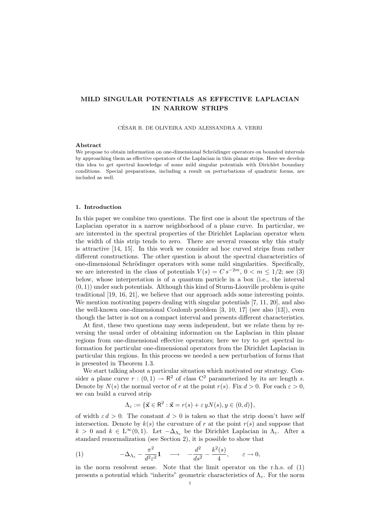# MILD SINGULAR POTENTIALS AS EFFECTIVE LAPLACIAN IN NARROW STRIPS

CESAR R. DE OLIVEIRA AND ALESSANDRA A. VERRI ´

#### Abstract

We propose to obtain information on one-dimensional Schrödinger operators on bounded intervals by approaching them as effective operators of the Laplacian in thin planar strips. Here we develop this idea to get spectral knowledge of some mild singular potentials with Dirichlet boundary conditions. Special preparations, including a result on perturbations of quadratic forms, are included as well.

#### 1. Introduction

In this paper we combine two questions. The first one is about the spectrum of the Laplacian operator in a narrow neighborhood of a plane curve. In particular, we are interested in the spectral properties of the Dirichlet Laplacian operator when the width of this strip tends to zero. There are several reasons why this study is attractive [14, 15]. In this work we consider ad hoc curved strips from rather different constructions. The other question is about the spectral characteristics of one-dimensional Schrödinger operators with some mild singularities. Specifically, we are interested in the class of potentials  $V(s) = Cs^{-2m}$ ,  $0 < m \leq 1/2$ ; see (3) below, whose interpretation is of a quantum particle in a box (i.e., the interval  $(0, 1)$  under such potentials. Although this kind of Sturm-Liouville problem is quite traditional [19, 16, 21], we believe that our approach adds some interesting points. We mention motivating papers dealing with singular potentials [7, 11, 20], and also the well-known one-dimensional Coulomb problem [3, 10, 17] (see also [13]), even though the latter is not on a compact interval and presents different characteristics.

At first, these two questions may seem independent, but we relate them by reversing the usual order of obtaining information on the Laplacian in thin planar regions from one-dimensional effective operators; here we try to get spectral information for particular one-dimensional operators from the Dirichlet Laplacian in particular thin regions. In this process we needed a new perturbation of forms that is presented in Theorem 1.3.

We start talking about a particular situation which motivated our strategy. Consider a plane curve  $r:(0,1) \to \mathbb{R}^2$  of class  $\mathbb{C}^2$  parameterized by its arc length s. Denote by  $N(s)$  the normal vector of r at the point  $r(s)$ . Fix  $d > 0$ . For each  $\varepsilon > 0$ , we can build a curved strip

$$
\Lambda_{\varepsilon} := \{ \vec{\mathbf{x}} \in \mathbb{R}^2 : \vec{\mathbf{x}} = r(s) + \varepsilon \, yN(s), y \in (0, d) \},
$$

of width  $\varepsilon d > 0$ . The constant  $d > 0$  is taken so that the strip doesn't have self intersection. Denote by  $k(s)$  the curvature of r at the point  $r(s)$  and suppose that  $k > 0$  and  $k \in L^{\infty}(0, 1)$ . Let  $-\Delta_{\Lambda_{\varepsilon}}$  be the Dirichlet Laplacian in  $\Lambda_{\varepsilon}$ . After a standard renormalization (see Section 2), it is possible to show that

(1) 
$$
-\Delta_{\Lambda_{\varepsilon}} - \frac{\pi^2}{d^2 \varepsilon^2} \mathbf{1} \longrightarrow -\frac{d^2}{ds^2} - \frac{k^2(s)}{4}, \varepsilon \to 0,
$$

in the norm resolvent sense. Note that the limit operator on the r.h.s. of (1) presents a potential which "inherits" geometric characteristics of  $\Lambda_{\varepsilon}$ . For the norm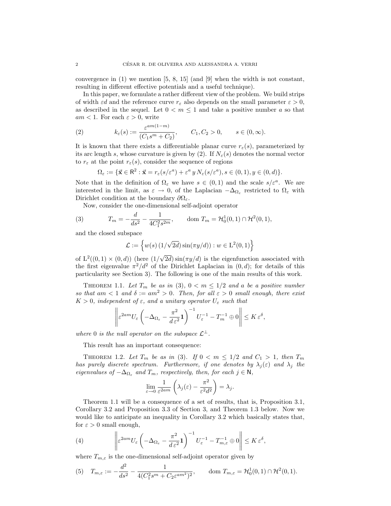convergence in  $(1)$  we mention [5, 8, 15] (and [9] when the width is not constant, resulting in different effective potentials and a useful technique).

In this paper, we formulate a rather different view of the problem. We build strips of width  $\varepsilon d$  and the reference curve  $r_{\varepsilon}$  also depends on the small parameter  $\varepsilon > 0$ , as described in the sequel. Let  $0 < m \leq 1$  and take a positive number a so that  $am < 1$ . For each  $\varepsilon > 0$ , write

(2) 
$$
k_{\varepsilon}(s) := \frac{\varepsilon^{am(1-m)}}{(C_1 s^m + C_2)}, \qquad C_1, C_2 > 0, \qquad s \in (0, \infty).
$$

It is known that there exists a differentiable planar curve  $r_{\varepsilon}(s)$ , parameterized by its arc length s, whose curvature is given by (2). If  $N_{\varepsilon}(s)$  denotes the normal vector to  $r_{\varepsilon}$  at the point  $r_{\varepsilon}(s)$ , consider the sequence of regions

$$
\Omega_{\varepsilon} := \{ \vec{\mathbf{x}} \in \mathsf{R}^2 : \vec{\mathbf{x}} = r_{\varepsilon}(s/\varepsilon^a) + \varepsilon^a y N_{\varepsilon}(s/\varepsilon^a), s \in (0,1), y \in (0,d) \}.
$$

Note that in the definition of  $\Omega_{\varepsilon}$  we have  $s \in (0,1)$  and the scale  $s/\varepsilon^{a}$ . We are interested in the limit, as  $\varepsilon \to 0$ , of the Laplacian  $-\Delta_{\Omega_{\varepsilon}}$  restricted to  $\Omega_{\varepsilon}$  with Dirichlet condition at the boundary  $\partial\Omega_{\varepsilon}$ .

Now, consider the one-dimensional self-adjoint operator

(3) 
$$
T_m = -\frac{d}{ds^2} - \frac{1}{4C_1^2 s^{2m}}, \qquad \text{dom } T_m = \mathcal{H}_0^1(0, 1) \cap \mathcal{H}^2(0, 1),
$$

and the closed subspace

$$
\mathcal{L} := \left\{ w(s) \left( 1/\sqrt{2d} \right) \sin(\pi y/d) \right) : w \in \mathcal{L}^2(0,1) \right\}
$$

of  $L^2((0,1) \times (0,d))$  (here  $(1/$  $2d$ ) sin( $\pi y/d$ ) is the eigenfunction associated with the first eigenvalue  $\pi^2/d^2$  of the Dirichlet Laplacian in  $(0, d)$ ; for details of this particularity see Section 3). The following is one of the main results of this work.

THEOREM 1.1. Let  $T_m$  be as in (3),  $0 < m \leq 1/2$  and a be a positive number so that am  $\langle 1 \text{ and } \delta := am^2 > 0$ . Then, for all  $\varepsilon > 0$  small enough, there exist  $K > 0$ , independent of  $\varepsilon$ , and a unitary operator  $U_{\varepsilon}$  such that

$$
\left\| \varepsilon^{2am} U_{\varepsilon} \left( -\Delta_{\Omega_{\varepsilon}} - \frac{\pi^2}{d \varepsilon^2} \mathbf{1} \right)^{-1} U_{\varepsilon}^{-1} - T_m^{-1} \oplus 0 \right\| \leq K \varepsilon^{\delta},
$$

where 0 is the null operator on the subspace  $\mathcal{L}^{\perp}$ .

This result has an important consequence:

THEOREM 1.2. Let  $T_m$  be as in (3). If  $0 < m \leq 1/2$  and  $C_1 > 1$ , then  $T_m$ has purely discrete spectrum. Furthermore, if one denotes by  $\lambda_j(\varepsilon)$  and  $\lambda_j$  the eigenvalues of  $-\Delta_{\Omega_{\varepsilon}}$  and  $T_m$ , respectively, then, for each  $j \in \mathbb{N}$ ,

$$
\lim_{\varepsilon \to 0} \frac{1}{\varepsilon^{2am}} \left( \lambda_j(\varepsilon) - \frac{\pi^2}{\varepsilon^2 d^2} \right) = \lambda_j.
$$

Theorem 1.1 will be a consequence of a set of results, that is, Proposition 3.1, Corollary 3.2 and Proposition 3.3 of Section 3, and Theorem 1.3 below. Now we would like to anticipate an inequality in Corollary 3.2 which basically states that, for  $\varepsilon > 0$  small enough,

(4) 
$$
\left\| \varepsilon^{2am} U_{\varepsilon} \left( -\Delta_{\Omega_{\varepsilon}} - \frac{\pi^2}{d \varepsilon^2} \mathbf{1} \right)^{-1} U_{\varepsilon}^{-1} - T_{m,\varepsilon}^{-1} \oplus 0 \right\| \leq K \varepsilon^{\delta},
$$

where  $T_{m,\varepsilon}$  is the one-dimensional self-adjoint operator given by

(5) 
$$
T_{m,\varepsilon} := -\frac{d^2}{ds^2} - \frac{1}{4(C_1^2 s^m + C_2 \varepsilon^{am^2})^2}
$$
, dom  $T_{m,\varepsilon} = \mathcal{H}_0^1(0,1) \cap \mathcal{H}^2(0,1)$ .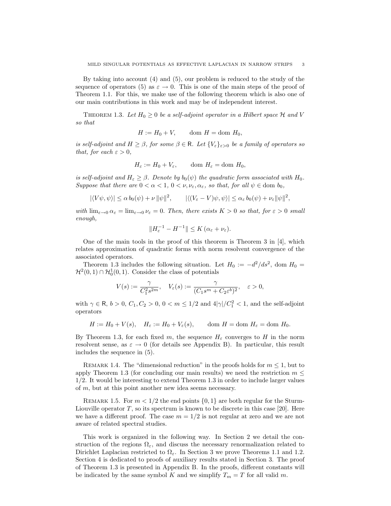By taking into account (4) and (5), our problem is reduced to the study of the sequence of operators (5) as  $\varepsilon \to 0$ . This is one of the main steps of the proof of Theorem 1.1. For this, we make use of the following theorem which is also one of our main contributions in this work and may be of independent interest.

THEOREM 1.3. Let  $H_0 \geq 0$  be a self-adjoint operator in a Hilbert space  $\mathcal H$  and V so that

$$
H := H_0 + V, \qquad \text{dom } H = \text{dom } H_0,
$$

is self-adjoint and  $H \geq \beta$ , for some  $\beta \in \mathsf{R}$ . Let  $\{V_{\varepsilon}\}_{{\varepsilon}>0}$  be a family of operators so that, for each  $\varepsilon > 0$ ,

$$
H_{\varepsilon} := H_0 + V_{\varepsilon}, \qquad \text{dom } H_{\varepsilon} = \text{dom } H_0,
$$

is self-adjoint and  $H_{\varepsilon} \geq \beta$ . Denote by  $b_0(\psi)$  the quadratic form associated with  $H_0$ . Suppose that there are  $0 < \alpha < 1$ ,  $0 < \nu, \nu_{\varepsilon}, \alpha_{\varepsilon}$ , so that, for all  $\psi \in \text{dom } b_0$ ,

$$
|\langle V\psi,\psi\rangle| \le \alpha b_0(\psi) + \nu \|\psi\|^2, \qquad |\langle (V_{\varepsilon} - V)\psi,\psi\rangle| \le \alpha_{\varepsilon} b_0(\psi) + \nu_{\varepsilon} \|\psi\|^2,
$$

with  $\lim_{\varepsilon\to 0} \alpha_{\varepsilon} = \lim_{\varepsilon\to 0} \nu_{\varepsilon} = 0$ . Then, there exists  $K > 0$  so that, for  $\varepsilon > 0$  small enough,

$$
||H_{\varepsilon}^{-1} - H^{-1}|| \leq K(\alpha_{\varepsilon} + \nu_{\varepsilon}).
$$

One of the main tools in the proof of this theorem is Theorem 3 in [4], which relates approximation of quadratic forms with norm resolvent convergence of the associated operators.

Theorem 1.3 includes the following situation. Let  $H_0 := -d^2/ds^2$ , dom  $H_0 =$  $\mathcal{H}^2(0,1) \cap \mathcal{H}_0^1(0,1)$ . Consider the class of potentials

$$
V(s) := \frac{\gamma}{C_1^2 s^{2m}}, \quad V_{\varepsilon}(s) := \frac{\gamma}{(C_1 s^m + C_2 \varepsilon^b)^2}, \quad \varepsilon > 0,
$$

with  $\gamma \in \mathsf{R}$ ,  $b > 0$ ,  $C_1, C_2 > 0$ ,  $0 < m \leq 1/2$  and  $4|\gamma|/C_1^2 < 1$ , and the self-adjoint operators

$$
H := H_0 + V(s), \quad H_{\varepsilon} := H_0 + V_{\varepsilon}(s), \qquad \text{dom } H = \text{dom } H_{\varepsilon} = \text{dom } H_0.
$$

By Theorem 1.3, for each fixed m, the sequence  $H_{\varepsilon}$  converges to H in the norm resolvent sense, as  $\varepsilon \to 0$  (for details see Appendix B). In particular, this result includes the sequence in (5).

REMARK 1.4. The "dimensional reduction" in the proofs holds for  $m \leq 1$ , but to apply Theorem 1.3 (for concluding our main results) we need the restriction  $m <$ 1/2. It would be interesting to extend Theorem 1.3 in order to include larger values of m, but at this point another new idea seems necessary.

REMARK 1.5. For  $m < 1/2$  the end points  $\{0, 1\}$  are both regular for the Sturm-Liouville operator  $T$ , so its spectrum is known to be discrete in this case [20]. Here we have a different proof. The case  $m = 1/2$  is not regular at zero and we are not aware of related spectral studies.

This work is organized in the following way. In Section 2 we detail the construction of the regions  $\Omega_{\varepsilon}$ , and discuss the necessary renormalization related to Dirichlet Laplacian restricted to  $\Omega_{\varepsilon}$ . In Section 3 we prove Theorems 1.1 and 1.2. Section 4 is dedicated to proofs of auxiliary results stated in Section 3. The proof of Theorem 1.3 is presented in Appendix B. In the proofs, different constants will be indicated by the same symbol K and we simplify  $T_m = T$  for all valid m.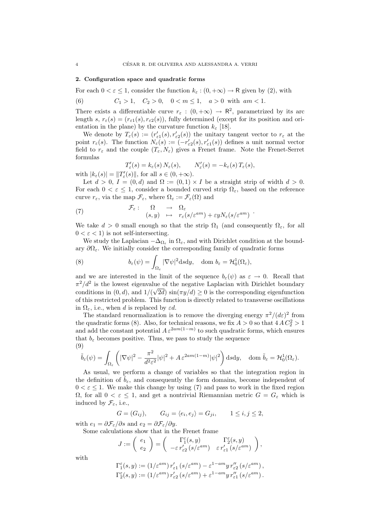#### 2. Configuration space and quadratic forms

For each  $0 < \varepsilon \leq 1$ , consider the function  $k_{\varepsilon} : (0, +\infty) \to \mathsf{R}$  given by (2), with

(6) 
$$
C_1 > 1
$$
,  $C_2 > 0$ ,  $0 < m \le 1$ ,  $a > 0$  with  $am < 1$ .

There exists a differentiable curve  $r_{\varepsilon} : (0, +\infty) \to \mathbb{R}^2$ , parametrized by its arc length s,  $r_{\varepsilon}(s) = (r_{\varepsilon}(s), r_{\varepsilon}(s))$ , fully determined (except for its position and orientation in the plane) by the curvature function  $k_{\varepsilon}$  [18].

We denote by  $T_{\varepsilon}(s) := (r'_{\varepsilon 1}(s), r'_{\varepsilon 2}(s))$  the unitary tangent vector to  $r_{\varepsilon}$  at the point  $r_{\varepsilon}(s)$ . The function  $N_{\varepsilon}(s) := (-r'_{\varepsilon(2s), r'_{\varepsilon(1s)})$  defines a unit normal vector field to  $r_{\varepsilon}$  and the couple  $(T_{\varepsilon}, N_{\varepsilon})$  gives a Frenet frame. Note the Frenet-Serret formulas

$$
T'_{\varepsilon}(s) = k_{\varepsilon}(s) N_{\varepsilon}(s), \qquad N'_{\varepsilon}(s) = -k_{\varepsilon}(s) T_{\varepsilon}(s),
$$

with  $|k_{\varepsilon}(s)| = ||T'_{\varepsilon}(s)||$ , for all  $s \in (0, +\infty)$ .

Let  $d > 0$ ,  $I = (0, d)$  and  $\Omega := (0, 1) \times I$  be a straight strip of width  $d > 0$ . For each  $0 < \varepsilon \leq 1$ , consider a bounded curved strip  $\Omega_{\varepsilon}$ , based on the reference curve  $r_{\varepsilon}$ , via the map  $\mathcal{F}_{\varepsilon}$ , where  $\Omega_{\varepsilon} := \mathcal{F}_{\varepsilon}(\Omega)$  and

(7) 
$$
\mathcal{F}_{\varepsilon}: \quad \Omega \quad \to \quad \Omega_{\varepsilon} \n(s, y) \quad \mapsto \quad r_{\varepsilon}(s/\varepsilon^{am}) + \varepsilon y N_{\varepsilon}(s/\varepsilon^{am})
$$

We take  $d > 0$  small enough so that the strip  $\Omega_1$  (and consequently  $\Omega_\varepsilon$ , for all  $0 < \varepsilon < 1$ ) is not self-intersecting.

We study the Laplacian  $-\Delta_{\Omega_{\varepsilon}}$  in  $\Omega_{\varepsilon}$ , and with Dirichlet condition at the boundary  $\partial\Omega_{\varepsilon}$ . We initially consider the corresponding family of quadratic forms

(8) 
$$
b_{\varepsilon}(\psi) = \int_{\Omega_{\varepsilon}} |\nabla \psi|^2 \mathrm{d} s \mathrm{d} y, \quad \text{dom } b_{\varepsilon} = \mathcal{H}_0^1(\Omega_{\varepsilon}),
$$

and we are interested in the limit of the sequence  $b_{\varepsilon}(\psi)$  as  $\varepsilon \to 0$ . Recall that  $\pi^2/d^2$  is the lowest eigenvalue of the negative Laplacian with Dirichlet boundary conditions in  $(0, d)$ , and  $1/(\sqrt{2d}) \sin(\pi y/d) \geq 0$  is the corresponding eigenfunction of this restricted problem. This function is directly related to transverse oscillations in  $\Omega_{\varepsilon}$ , i.e., when d is replaced by  $\varepsilon d$ .

The standard renormalization is to remove the diverging energy  $\pi^2/(d\varepsilon)^2$  from the quadratic forms (8). Also, for technical reasons, we fix  $A > 0$  so that  $4 A C_2^2 > 1$ and add the constant potential  $A \varepsilon^{2am(1-m)}$  to such quadratic forms, which ensures that  $b_{\varepsilon}$  becomes positive. Thus, we pass to study the sequence (9)

$$
\tilde{b}_{\varepsilon}(\psi) = \int_{\Omega_{\varepsilon}} \left( |\nabla \psi|^2 - \frac{\pi^2}{d^2 \varepsilon^2} |\psi|^2 + A \, \varepsilon^{2am(1-m)} |\psi|^2 \right) \mathrm{d} s \mathrm{d} y, \quad \mathrm{dom}\; \tilde{b}_{\varepsilon} = \mathcal{H}_0^1(\Omega_{\varepsilon}).
$$

As usual, we perform a change of variables so that the integration region in the definition of  $b_{\varepsilon}$ , and consequently the form domains, become independent of  $0 < \varepsilon \leq 1$ . We make this change by using (7) and pass to work in the fixed region  $\Omega$ , for all  $0 < \varepsilon \leq 1$ , and get a nontrivial Riemannian metric  $G = G_{\varepsilon}$  which is induced by  $\mathcal{F}_{\varepsilon}$ , i.e.,

$$
G = (G_{ij}), \qquad G_{ij} = \langle e_i, e_j \rangle = G_{ji}, \qquad 1 \le i, j \le 2,
$$

with  $e_1 = \partial \mathcal{F}_{\varepsilon}/\partial s$  and  $e_2 = \partial \mathcal{F}_{\varepsilon}/\partial y$ .

Some calculations show that in the Frenet frame

$$
J := \begin{pmatrix} e_1 \\ e_2 \end{pmatrix} = \begin{pmatrix} \Gamma_1^{\varepsilon}(s, y) & \Gamma_2^{\varepsilon}(s, y) \\ -\varepsilon r_{\varepsilon 2}'(s/\varepsilon^{am}) & \varepsilon r_{\varepsilon 1}'(s/\varepsilon^{am}) \end{pmatrix},
$$

with

$$
\Gamma_1^{\varepsilon}(s,y) := (1/\varepsilon^{am}) r'_{\varepsilon 1} (s/\varepsilon^{am}) - \varepsilon^{1-am} y r''_{\varepsilon 2} (s/\varepsilon^{am}),
$$
  
\n
$$
\Gamma_2^{\varepsilon}(s,y) := (1/\varepsilon^{am}) r'_{\varepsilon 2} (s/\varepsilon^{am}) + \varepsilon^{1-am} y r''_{\varepsilon 1} (s/\varepsilon^{am}).
$$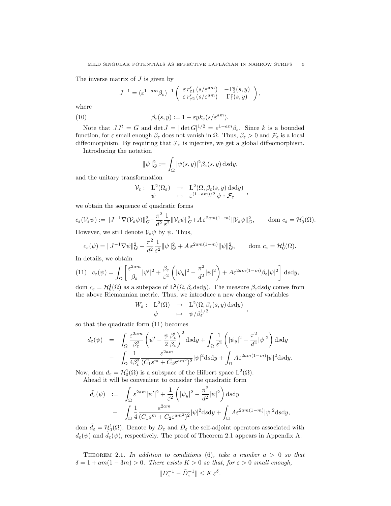The inverse matrix of  $J$  is given by

$$
J^{-1} = (\varepsilon^{1-am} \beta_{\varepsilon})^{-1} \begin{pmatrix} \varepsilon r'_{\varepsilon 1} (s/\varepsilon^{am}) & -\Gamma^{\varepsilon}_{2}(s, y) \\ \varepsilon r'_{\varepsilon 2} (s/\varepsilon^{am}) & \Gamma^{\varepsilon}_{1}(s, y) \end{pmatrix},
$$

where

(10) 
$$
\beta_{\varepsilon}(s,y) := 1 - \varepsilon y k_{\varepsilon}(s/\varepsilon^{am}).
$$

Note that  $JJ^t = G$  and  $\det J = |\det G|^{1/2} = \varepsilon^{1-am}\beta_{\varepsilon}$ . Since k is a bounded function, for  $\varepsilon$  small enough  $\beta_{\varepsilon}$  does not vanish in  $\Omega$ . Thus,  $\beta_{\varepsilon} > 0$  and  $\mathcal{F}_{\varepsilon}$  is a local diffeomorphism. By requiring that  $\mathcal{F}_{\varepsilon}$  is injective, we get a global diffeomorphism.

Introducing the notation

$$
\|\psi\|_G^2 := \int_{\Omega} |\psi(s,y)|^2 \beta_{\varepsilon}(s,y) \, \mathrm{d} s \mathrm{d} y,
$$

and the unitary transformation

$$
\mathcal{V}_{\varepsilon}: \begin{array}{ccc} L^{2}(\Omega_{\varepsilon}) & \to & L^{2}(\Omega, \beta_{\varepsilon}(s, y) \, \mathrm{d} s \mathrm{d} y) \\ \psi & \mapsto & \varepsilon^{(1-am)/2} \, \psi \circ \mathcal{F}_{\varepsilon} \end{array},
$$

we obtain the sequence of quadratic forms

$$
c_{\varepsilon}(\mathcal{V}_{\varepsilon}\psi) := \|J^{-1}\nabla(\mathcal{V}_{\varepsilon}\psi)\|_{G}^{2} - \frac{\pi^{2}}{d^{2}}\frac{1}{\varepsilon^{2}}\|\mathcal{V}_{\varepsilon}\psi\|_{G}^{2} + A \,\varepsilon^{2am(1-m)}\|\mathcal{V}_{\varepsilon}\psi\|_{G}^{2}, \qquad \text{dom } c_{\varepsilon} = \mathcal{H}_{0}^{1}(\Omega).
$$

However, we still denote  $\mathcal{V}_{\varepsilon}\psi$  by  $\psi$ . Thus,

$$
c_{\varepsilon}(\psi) = \|J^{-1}\nabla\psi\|_G^2 - \frac{\pi^2}{d^2} \frac{1}{\varepsilon^2} \|\psi\|_G^2 + A \,\varepsilon^{2am(1-m)} \|\psi\|_G^2, \qquad \text{dom } c_{\varepsilon} = \mathcal{H}_0^1(\Omega).
$$

In details, we obtain

(11) 
$$
c_{\varepsilon}(\psi) = \int_{\Omega} \left[ \frac{\varepsilon^{2am}}{\beta_{\varepsilon}} |\psi'|^2 + \frac{\beta_{\varepsilon}}{\varepsilon^2} \left( |\psi_y|^2 - \frac{\pi^2}{d^2} |\psi|^2 \right) + A \varepsilon^{2am(1-m)} \beta_{\varepsilon} |\psi|^2 \right] ds dy,
$$

dom  $c_{\varepsilon} = \mathcal{H}_0^1(\Omega)$  as a subspace of  $L^2(\Omega, \beta_{\varepsilon} d s d y)$ . The measure  $\beta_{\varepsilon} d s d y$  comes from the above Riemannian metric. Thus, we introduce a new change of variables

$$
W_{\varepsilon}: \begin{array}{rcl} \mathrm{L}^2(\Omega) & \to & \mathrm{L}^2(\Omega,\beta_{\varepsilon}(s,y)\,ds\mathrm{d}y) \\ \psi & \mapsto & \psi/\beta_{\varepsilon}^{1/2} \end{array},
$$

so that the quadratic form (11) becomes

$$
d_{\varepsilon}(\psi) = \int_{\Omega} \frac{\varepsilon^{2am}}{\beta_{\varepsilon}^{2}} \left( \psi' - \frac{\psi}{2} \frac{\beta_{\varepsilon}'}{\beta_{\varepsilon}} \right)^{2} ds dy + \int_{\Omega} \frac{1}{\varepsilon^{2}} \left( |\psi_{y}|^{2} - \frac{\pi^{2}}{d^{2}} |\psi|^{2} \right) ds dy - \int_{\Omega} \frac{1}{4\beta_{\varepsilon}^{2}} \frac{\varepsilon^{2am}}{(C_{1}s^{m} + C_{2}\varepsilon^{am^{2}})^{2}} |\psi|^{2} ds dy + \int_{\Omega} A \varepsilon^{2am(1-m)} |\psi|^{2} ds dy.
$$

Now, dom  $d_{\varepsilon} = \mathcal{H}_0^1(\Omega)$  is a subspace of the Hilbert space  $L^2(\Omega)$ . Ahead it will be convenient to consider the quadratic form

$$
\tilde{d}_{\varepsilon}(\psi) := \int_{\Omega} \varepsilon^{2am} |\psi'|^2 + \frac{1}{\varepsilon^2} \left( |\psi_y|^2 - \frac{\pi^2}{d^2} |\psi|^2 \right) dxdy
$$

$$
- \int_{\Omega} \frac{1}{4} \frac{\varepsilon^{2am}}{(C_1 s^m + C_2 \varepsilon^{am})^2} |\psi|^2 dsdy + \int_{\Omega} A \varepsilon^{2am(1-m)} |\psi|^2 dsdy,
$$

dom  $\tilde{d}_{\varepsilon} = \mathcal{H}_0^1(\Omega)$ . Denote by  $D_{\varepsilon}$  and  $\tilde{D}_{\varepsilon}$  the self-adjoint operators associated with  $d_{\varepsilon}(\psi)$  and  $\tilde{d}_{\varepsilon}(\psi)$ , respectively. The proof of Theorem 2.1 appears in Appendix A.

THEOREM 2.1. In addition to conditions  $(6)$ , take a number  $a > 0$  so that  $\delta = 1 + am(1 - 3m) > 0$ . There exists  $K > 0$  so that, for  $\varepsilon > 0$  small enough,

$$
||D_{\varepsilon}^{-1}-\tilde{D}_{\varepsilon}^{-1}||\leq K\,\varepsilon^{\delta}.
$$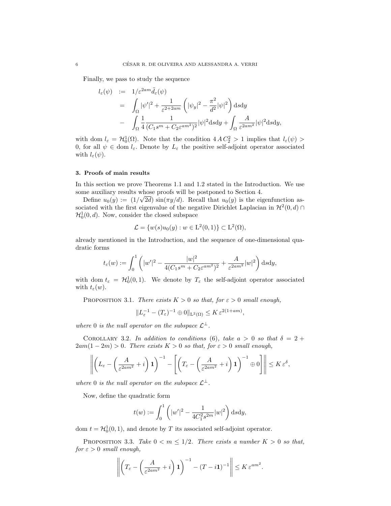Finally, we pass to study the sequence

$$
l_{\varepsilon}(\psi) := 1/\varepsilon^{2am} \tilde{d}_{\varepsilon}(\psi)
$$
  
= 
$$
\int_{\Omega} |\psi'|^{2} + \frac{1}{\varepsilon^{2+2am}} \left( |\psi_{y}|^{2} - \frac{\pi^{2}}{d^{2}} |\psi|^{2} \right) d s d y
$$
  
- 
$$
\int_{\Omega} \frac{1}{4} \frac{1}{(C_{1}s^{m} + C_{2}\varepsilon^{am^{2}})^{2}} |\psi|^{2} d s d y + \int_{\Omega} \frac{A}{\varepsilon^{2am^{2}}} |\psi|^{2} d s d y,
$$

with dom  $l_{\varepsilon} = \mathcal{H}_0^1(\Omega)$ . Note that the condition  $4AC_2^2 > 1$  implies that  $l_{\varepsilon}(\psi) >$ 0, for all  $\psi \in \text{dom } l_{\varepsilon}$ . Denote by  $L_{\varepsilon}$  the positive self-adjoint operator associated with  $l_{\varepsilon}(\psi)$ .

# 3. Proofs of main results

In this section we prove Theorems 1.1 and 1.2 stated in the Introduction. We use some auxiliary results whose proofs will be postponed to Section 4.

Define  $u_0(y) := (1/\sqrt{2d}) \sin(\pi y/d)$ . Recall that  $u_0(y)$  is the eigenfunction associated with the first eigenvalue of the negative Dirichlet Laplacian in  $\mathcal{H}^2(0, d) \cap$  $\mathcal{H}_0^1(0, d)$ . Now, consider the closed subspace

$$
\mathcal{L} = \{ w(s)u_0(y) : w \in L^2(0,1) \} \subset L^2(\Omega),
$$

already mentioned in the Introduction, and the sequence of one-dimensional quadratic forms

$$
t_{\varepsilon}(w) := \int_0^1 \left( |w'|^2 - \frac{|w|^2}{4(C_1 s^m + C_2 \varepsilon^{am^2})^2} + \frac{A}{\varepsilon^{2am^2}} |w|^2 \right) ds dy,
$$

with dom  $t_{\varepsilon} = H_0^1(0,1)$ . We denote by  $T_{\varepsilon}$  the self-adjoint operator associated with  $t_{\varepsilon}(w)$ .

PROPOSITION 3.1. There exists  $K > 0$  so that, for  $\varepsilon > 0$  small enough,

$$
||L_{\varepsilon}^{-1} - (T_{\varepsilon})^{-1} \oplus 0||_{L^{2}(\Omega)} \leq K \varepsilon^{2(1+am)},
$$

where 0 is the null operator on the subspace  $\mathcal{L}^{\perp}$ .

COROLLARY 3.2. In addition to conditions (6), take  $a > 0$  so that  $\delta = 2 +$  $2am(1-2m) > 0$ . There exists  $K > 0$  so that, for  $\varepsilon > 0$  small enough,

$$
\left\| \left( L_{\varepsilon} - \left( \frac{A}{\varepsilon^{2am^2}} + i \right) \mathbf{1} \right)^{-1} - \left[ \left( T_{\varepsilon} - \left( \frac{A}{\varepsilon^{2am^2}} + i \right) \mathbf{1} \right)^{-1} \oplus 0 \right] \right\| \leq K \, \varepsilon^{\delta},
$$

where 0 is the null operator on the subspace  $\mathcal{L}^{\perp}$ .

Now, define the quadratic form

$$
t(w) := \int_0^1 \left( |w'|^2 - \frac{1}{4C_1^2 s^{2m}} |w|^2 \right) ds dy,
$$

dom  $t = \mathcal{H}_0^1(0, 1)$ , and denote by T its associated self-adjoint operator.

PROPOSITION 3.3. Take  $0 < m \leq 1/2$ . There exists a number  $K > 0$  so that, for  $\varepsilon > 0$  small enough,

$$
\left\| \left( T_{\varepsilon} - \left( \frac{A}{\varepsilon^{2am^2}} + i \right) \mathbf{1} \right)^{-1} - (T - i \mathbf{1})^{-1} \right\| \leq K \, \varepsilon^{am^2}.
$$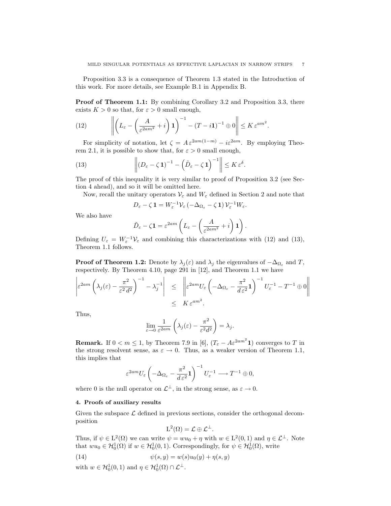Proposition 3.3 is a consequence of Theorem 1.3 stated in the Introduction of this work. For more details, see Example B.1 in Appendix B.

Proof of Theorem 1.1: By combining Corollary 3.2 and Proposition 3.3, there exists  $K > 0$  so that, for  $\varepsilon > 0$  small enough,

.

(12) 
$$
\left\| \left( L_{\varepsilon} - \left( \frac{A}{\varepsilon^{2am^2}} + i \right) \mathbf{1} \right)^{-1} - \left( T - i \mathbf{1} \right)^{-1} \oplus 0 \right\| \leq K \varepsilon^{am^2}
$$

For simplicity of notation, let  $\zeta = A \varepsilon^{2am(1-m)} - i \varepsilon^{2am}$ . By employing Theorem 2.1, it is possible to show that, for  $\varepsilon > 0$  small enough,

(13) 
$$
\left\| \left(D_{\varepsilon} - \zeta \mathbf{1}\right)^{-1} - \left(\tilde{D}_{\varepsilon} - \zeta \mathbf{1}\right)^{-1} \right\| \leq K \varepsilon^{\delta}.
$$

The proof of this inequality it is very similar to proof of Proposition 3.2 (see Section 4 ahead), and so it will be omitted here.

Now, recall the unitary operators  $V_{\varepsilon}$  and  $W_{\varepsilon}$  defined in Section 2 and note that

$$
D_{\varepsilon} - \zeta \mathbf{1} = W_{\varepsilon}^{-1} \mathcal{V}_{\varepsilon} \left( -\Delta_{\Omega_{\varepsilon}} - \zeta \mathbf{1} \right) \mathcal{V}_{\varepsilon}^{-1} W_{\varepsilon}.
$$

We also have

$$
\tilde{D}_{\varepsilon} - \zeta \mathbf{1} = \varepsilon^{2am} \left( L_{\varepsilon} - \left( \frac{A}{\varepsilon^{2am^2}} + i \right) \mathbf{1} \right).
$$

Defining  $U_{\varepsilon} = W_{\varepsilon}^{-1} V_{\varepsilon}$  and combining this characterizations with (12) and (13), Theorem 1.1 follows.

**Proof of Theorem 1.2:** Denote by  $\lambda_j(\varepsilon)$  and  $\lambda_j$  the eigenvalues of  $-\Delta_{\Omega_{\varepsilon}}$  and T, respectively. By Theorem 4.10, page 291 in [12], and Theorem 1.1 we have

$$
\left| \varepsilon^{2am} \left( \lambda_j(\varepsilon) - \frac{\pi^2}{\varepsilon^2 d^2} \right)^{-1} - \lambda_j^{-1} \right| \leq \left\| \varepsilon^{2am} U_{\varepsilon} \left( -\Delta_{\Omega_{\varepsilon}} - \frac{\pi^2}{d \varepsilon^2} \mathbf{1} \right)^{-1} U_{\varepsilon}^{-1} - T^{-1} \oplus 0 \right\|
$$
  

$$
\leq K \varepsilon^{am^2}.
$$

Thus,

$$
\lim_{\varepsilon \to 0} \frac{1}{\varepsilon^{2am}} \left( \lambda_j(\varepsilon) - \frac{\pi^2}{\varepsilon^2 d^2} \right) = \lambda_j.
$$

**Remark.** If  $0 < m \le 1$ , by Theorem 7.9 in [6],  $(T_{\varepsilon} - A\varepsilon^{2am^2} \mathbf{1})$  converges to T in the strong resolvent sense, as  $\varepsilon \to 0$ . Thus, as a weaker version of Theorem 1.1, this implies that

$$
\varepsilon^{2am} U_{\varepsilon} \left( -\Delta_{\Omega_{\varepsilon}} - \frac{\pi^2}{d \, \varepsilon^2} \mathbf{1} \right)^{-1} U_{\varepsilon}^{-1} \longrightarrow T^{-1} \oplus 0,
$$

where 0 is the null operator on  $\mathcal{L}^{\perp}$ , in the strong sense, as  $\varepsilon \to 0$ .

# 4. Proofs of auxiliary results

Given the subspace  $\mathcal L$  defined in previous sections, consider the orthogonal decomposition

$$
L^2(\Omega) = \mathcal{L} \oplus \mathcal{L}^{\perp}.
$$

Thus, if  $\psi \in L^2(\Omega)$  we can write  $\psi = w u_0 + \eta$  with  $w \in L^2(0,1)$  and  $\eta \in \mathcal{L}^{\perp}$ . Note that  $wu_0 \in H_0^1(\Omega)$  if  $w \in H_0^1(0,1)$ . Correspondingly, for  $\psi \in H_0^1(\Omega)$ , write

(14) 
$$
\psi(s,y) = w(s)u_0(y) + \eta(s,y)
$$

with  $w \in H_0^1(0,1)$  and  $\eta \in H_0^1(\Omega) \cap \mathcal{L}^{\perp}$ .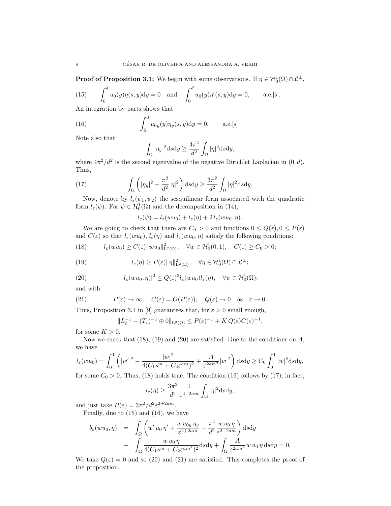**Proof of Proposition 3.1:** We begin with some observations. If  $\eta \in H_0^1(\Omega) \cap L^{\perp}$ ,

(15) 
$$
\int_0^d u_0(y)\eta(s,y)dy = 0 \text{ and } \int_0^d u_0(y)\eta'(s,y)dy = 0, \text{ a.e. [s].}
$$

An integration by parts shows that

(16) 
$$
\int_0^d u_{0y}(y)\eta_y(s,y)dy = 0, \quad \text{a.e.}[s].
$$

Note also that

$$
\int_{\Omega} |\eta_y|^2 \mathrm{d} s \mathrm{d} y \ge \frac{4\pi^2}{d^2} \int_{\Omega} |\eta|^2 \mathrm{d} s \mathrm{d} y,
$$

where  $4\pi^2/d^2$  is the second eigenvalue of the negative Dirichlet Laplacian in  $(0, d)$ . Thus,

(17) 
$$
\int_{\Omega} \left( |\eta_y|^2 - \frac{\pi^2}{d^2} |\eta|^2 \right) ds dy \geq \frac{3\pi^2}{d^2} \int_{\Omega} |\eta|^2 ds dy.
$$

Now, denote by  $l_{\varepsilon}(\psi_1, \psi_2)$  the sesquilinear form associated with the quadratic form  $l_{\varepsilon}(\psi)$ . For  $\psi \in \mathcal{H}_0^1(\Omega)$  and the decomposition in (14),

$$
l_{\varepsilon}(\psi) = l_{\varepsilon}(wu_0) + l_{\varepsilon}(\eta) + 2 l_{\varepsilon}(wu_0, \eta).
$$

We are going to check that there are  $C_0 > 0$  and functions  $0 \le Q(\varepsilon)$ ,  $0 \le P(\varepsilon)$ and  $C(\varepsilon)$  so that  $l_{\varepsilon}(wu_0)$ ,  $l_{\varepsilon}(\eta)$  and  $l_{\varepsilon}(wu_0, \eta)$  satisfy the following conditions:

(18) 
$$
l_{\varepsilon}(wu_0) \ge C(\varepsilon) \|wu_0\|_{\mathcal{L}^2(\Omega)}^2, \quad \forall w \in \mathcal{H}_0^1(0,1), \quad C(\varepsilon) \ge C_0 > 0;
$$

(19) 
$$
l_{\varepsilon}(\eta) \ge P(\varepsilon) \|\eta\|_{\mathcal{L}^2(\Omega)}^2, \quad \forall \eta \in \mathcal{H}_0^1(\Omega) \cap \mathcal{L}^{\perp};
$$

(20) 
$$
|l_{\varepsilon}(wu_0, \eta)|^2 \leq Q(\varepsilon)^2 l_{\varepsilon}(wu_0) l_{\varepsilon}(\eta), \quad \forall \psi \in \mathcal{H}_0^1(\Omega);
$$

and with

(21) 
$$
P(\varepsilon) \to \infty
$$
,  $C(\varepsilon) = O(P(\varepsilon))$ ,  $Q(\varepsilon) \to 0$  as  $\varepsilon \to 0$ .

Thus, Proposition 3.1 in [9] guarantees that, for  $\varepsilon > 0$  small enough,

$$
||L_{\varepsilon}^{-1} - (T_{\varepsilon})^{-1} \oplus 0||_{L^{2}(\Omega)} \le P(\varepsilon)^{-1} + K Q(\varepsilon)C(\varepsilon)^{-1},
$$

for some  $K > 0$ .

Now we check that  $(18)$ ,  $(19)$  and  $(20)$  are satisfied. Due to the conditions on A, we have

$$
l_{\varepsilon}(wu_0) = \int_0^1 \left( |w'|^2 - \frac{|w|^2}{4(C_1 s^m + C_2 \varepsilon^{am})^2} + \frac{A}{\varepsilon^{2am^2}} |w|^2 \right) ds dy \ge C_0 \int_0^1 |w|^2 ds dy,
$$

for some  $C_0 > 0$ . Thus, (18) holds true. The condition (19) follows by (17); in fact,

$$
l_{\varepsilon}(\eta) \ge \frac{3\pi^2}{d^2} \frac{1}{\varepsilon^{2+2am}} \int_{\Omega} |\eta|^2 \mathrm{d} s \mathrm{d} y,
$$

and just take  $P(\varepsilon) = 3\pi^2/d^2 \varepsilon^{2+2am}$ .

Finally, due to (15) and (16), we have

$$
b_{\varepsilon}(wu_0, \eta) = \int_{\Omega} \left( w' u_0 \eta' + \frac{w u_{0y} \eta_y}{\varepsilon^{2+2am}} - \frac{\pi^2}{d^2} \frac{w u_0 \eta}{\varepsilon^{2+2am}} \right) \mathrm{d} s \mathrm{d} y - \int_{\Omega} \frac{w u_0 \eta}{4(C_1 s^m + C_2 \varepsilon^{am^2})^2} \mathrm{d} s \mathrm{d} y + \int_{\Omega} \frac{A}{\varepsilon^{2am^2}} w u_0 \eta \mathrm{d} s \mathrm{d} y = 0.
$$

We take  $Q(\varepsilon) = 0$  and so (20) and (21) are satisfied. This completes the proof of the proposition.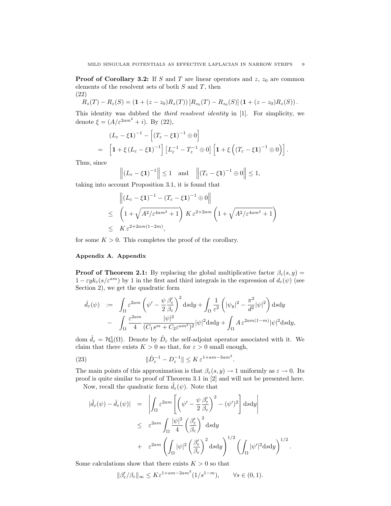**Proof of Corollary 3.2:** If S and T are linear operators and  $z$ ,  $z_0$  are common elements of the resolvent sets of both  $S$  and  $T$ , then (22)

$$
R_z(T) - R_z(S) = (1 + (z - z_0)R_z(T)) [R_{z_0}(T) - R_{z_0}(S)] (1 + (z - z_0)R_z(S)).
$$

This identity was dubbed the *third resolvent identity* in [1]. For simplicity, we denote  $\xi = (A/\varepsilon^{2am^2} + i)$ . By (22),

$$
(L_{\varepsilon} - \xi \mathbf{1})^{-1} - \left[ (T_{\varepsilon} - \xi \mathbf{1})^{-1} \oplus 0 \right]
$$
  
=  $\left[ \mathbf{1} + \xi \left( L_{\varepsilon} - \xi \mathbf{1} \right)^{-1} \right] \left[ L_{\varepsilon}^{-1} - T_{\varepsilon}^{-1} \oplus 0 \right] \left[ \mathbf{1} + \xi \left( \left( T_{\varepsilon} - \xi \mathbf{1} \right)^{-1} \oplus 0 \right) \right].$ 

Thus, since

$$
\left\|(L_{\varepsilon}-\xi\mathbf{1})^{-1}\right\|\leq 1 \quad \text{and} \quad \left\|(T_{\varepsilon}-\xi\mathbf{1})^{-1}\oplus 0\right\|\leq 1,
$$

taking into account Proposition 3.1, it is found that

$$
\begin{aligned} & \left\| \left(L_{\varepsilon} - \xi \mathbf{1} \right)^{-1} - \left(T_{\varepsilon} - \xi \mathbf{1} \right)^{-1} \oplus 0 \right\| \\ & \leq \quad \left(1 + \sqrt{A^2/\varepsilon^{4am^2} + 1} \right) K \, \varepsilon^{2 + 2am} \left(1 + \sqrt{A^2/\varepsilon^{4am^2} + 1} \right) \\ & \leq \quad K \, \varepsilon^{2 + 2am(1 - 2m)}, \end{aligned}
$$

for some  $K > 0$ . This completes the proof of the corollary.

## Appendix A. Appendix

**Proof of Theorem 2.1:** By replacing the global multiplicative factor  $\beta_{\epsilon}(s, y)$  =  $1 - \varepsilon y k_{\varepsilon}(s/\varepsilon^{am})$  by 1 in the first and third integrals in the expression of  $d_{\varepsilon}(\psi)$  (see Section 2), we get the quadratic form

$$
\begin{array}{rcl} \hat{d}_{\varepsilon}(\psi) & := & \displaystyle\int_{\Omega}\varepsilon^{2am}\left(\psi'-\frac{\psi}{2}\frac{\beta'_{\varepsilon}}{\beta_{\varepsilon}}\right)^{2}\mathrm{d} s\mathrm{d} y+\int_{\Omega}\frac{1}{\varepsilon^{2}}\left(|\psi_{y}|^{2}-\frac{\pi^{2}}{d^{2}}|\psi|^{2}\right)\mathrm{d} s\mathrm{d} y \\ & & - & \displaystyle\int_{\Omega}\frac{\varepsilon^{2am}}{4}\frac{|\psi|^{2}}{(C_{1}s^{m}+C_{2}\varepsilon^{am^{2}})^{2}}|\psi|^{2}\mathrm{d} s\mathrm{d} y+\int_{\Omega}A\,\varepsilon^{2am(1-m)}|\psi|^{2}\mathrm{d} s\mathrm{d} y, \end{array}
$$

dom  $\hat{d}_{\varepsilon} = \mathcal{H}_0^1(\Omega)$ . Denote by  $\hat{D}_{\varepsilon}$  the self-adjoint operator associated with it. We claim that there exists  $K > 0$  so that, for  $\varepsilon > 0$  small enough,

(23) 
$$
\|\hat{D}_{\varepsilon}^{-1} - D_{\varepsilon}^{-1}\| \le K \varepsilon^{1+am-3am^2}.
$$

The main points of this approximation is that  $\beta_{\varepsilon}(s, y) \to 1$  uniformly as  $\varepsilon \to 0$ . Its proof is quite similar to proof of Theorem 3.1 in [2] and will not be presented here.

Now, recall the quadratic form  $\tilde{d}_{\varepsilon}(\psi)$ . Note that

$$
\begin{array}{rcl} |\tilde{d}_{\varepsilon}(\psi)-\hat{d}_{\varepsilon}(\psi)|&=&\displaystyle \left|\int_{\Omega}\varepsilon^{2am}\left[\left(\psi'-\frac{\psi}{2}\frac{\beta'_{\varepsilon}}{\beta_{\varepsilon}}\right)^{2}-(\psi')^{2}\right]\mathrm{d} s\mathrm{d} y\right|\\&\leq&\displaystyle \varepsilon^{2am}\int_{\Omega}\frac{|\psi|^{2}}{4}\left(\frac{\beta'_{\varepsilon}}{\beta_{\varepsilon}}\right)^{2}\mathrm{d} s\mathrm{d} y\\&+&\displaystyle \varepsilon^{2am}\left(\int_{\Omega}|\psi|^{2}\left(\frac{\beta'_{\varepsilon}}{\beta_{\varepsilon}}\right)^{2}\mathrm{d} s\mathrm{d} y\right)^{1/2}\left(\int_{\Omega}|\psi'|^{2}\mathrm{d} s\mathrm{d} y\right)^{1/2}\end{array}
$$

.

Some calculations show that there exists  $K > 0$  so that

$$
\|\beta_{\varepsilon}'/\beta_{\varepsilon}\|_{\infty} \le K\varepsilon^{1+am-2am^2}(1/s^{1-m}), \qquad \forall s \in (0,1).
$$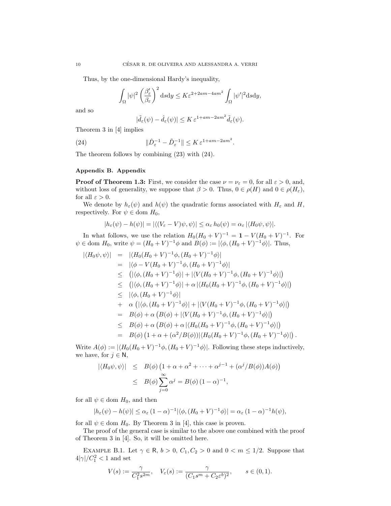Thus, by the one-dimensional Hardy's inequality,

$$
\int_{\Omega} |\psi|^2 \left(\frac{\beta_{\varepsilon}'}{\beta_{\varepsilon}}\right)^2 d s d y \le K \varepsilon^{2+2am-4am^2} \int_{\Omega} |\psi'|^2 d s d y,
$$

and so

$$
|\tilde d_\varepsilon(\psi)-\hat d_\varepsilon(\psi)|\leq K\,\varepsilon^{1+am-2am^2}\tilde d_\varepsilon(\psi).
$$

Theorem 3 in [4] implies

(24) 
$$
\|\hat{D}_{\varepsilon}^{-1} - \tilde{D}_{\varepsilon}^{-1}\| \leq K \varepsilon^{1+am-2am^2}.
$$

The theorem follows by combining (23) with (24).

## Appendix B. Appendix

**Proof of Theorem 1.3:** First, we consider the case  $\nu = \nu_{\varepsilon} = 0$ , for all  $\varepsilon > 0$ , and, without loss of generality, we suppose that  $\beta > 0$ . Thus,  $0 \in \rho(H)$  and  $0 \in \rho(H_{\varepsilon})$ , for all  $\varepsilon > 0$ .

We denote by  $h_{\varepsilon}(\psi)$  and  $h(\psi)$  the quadratic forms associated with  $H_{\varepsilon}$  and H, respectively. For  $\psi \in \text{dom } H_0$ ,

$$
|h_{\varepsilon}(\psi) - h(\psi)| = |\langle (V_{\varepsilon} - V)\psi, \psi \rangle| \le \alpha_{\varepsilon} h_0(\psi) = \alpha_{\varepsilon} |\langle H_0 \psi, \psi \rangle|.
$$

In what follows, we use the relation  $H_0(H_0 + V)^{-1} = 1 - V(H_0 + V)^{-1}$ . For  $\psi \in \text{dom } H_0$ , write  $\psi = (H_0 + V)^{-1} \phi$  and  $B(\phi) := |\langle \phi, (H_0 + V)^{-1} \phi \rangle|$ . Thus,

$$
\begin{array}{rcl}\n\left| \langle H_0 \psi, \psi \rangle \right| & = & \left| \langle H_0 (H_0 + V)^{-1} \phi, (H_0 + V)^{-1} \phi \rangle \right| \\
& = & \left| \langle \phi - V (H_0 + V)^{-1} \phi, (H_0 + V)^{-1} \phi \rangle \right| \\
& \leq & \left( \left| \langle \phi, (H_0 + V)^{-1} \phi \rangle \right| + \left| \langle V (H_0 + V)^{-1} \phi, (H_0 + V)^{-1} \phi \rangle \right| \right) \\
& \leq & \left( \left| \langle \phi, (H_0 + V)^{-1} \phi \rangle \right| + \alpha \left| \langle H_0 (H_0 + V)^{-1} \phi, (H_0 + V)^{-1} \phi \rangle \right| \right) \\
& \leq & \left| \langle \phi, (H_0 + V)^{-1} \phi \rangle \right| \\
& + & \alpha \left( \left| \langle \phi, (H_0 + V)^{-1} \phi \rangle \right| + \left| \langle V (H_0 + V)^{-1} \phi, (H_0 + V)^{-1} \phi \rangle \right| \right) \\
& = & B(\phi) + \alpha \left( B(\phi) + \left| \langle V (H_0 + V)^{-1} \phi, (H_0 + V)^{-1} \phi \rangle \right| \right) \\
& \leq & B(\phi) + \alpha \left( B(\phi) + \alpha \left| \langle H_0 (H_0 + V)^{-1} \phi, (H_0 + V)^{-1} \phi \rangle \right| \right) \\
& = & B(\phi) \left( 1 + \alpha + (\alpha^2 / B(\phi)) \right| \langle H_0 (H_0 + V)^{-1} \phi, (H_0 + V)^{-1} \phi \rangle \right| \right).\n\end{array}
$$

Write  $A(\phi) := |\langle H_0(H_0 + V)^{-1}\phi, (H_0 + V)^{-1}\phi \rangle|$ . Following these steps inductively, we have, for  $j \in \mathbb{N}$ ,

$$
|\langle H_0 \psi, \psi \rangle| \leq B(\phi) \left( 1 + \alpha + \alpha^2 + \dots + \alpha^{j-1} + (\alpha^j / B(\phi)) A(\phi) \right)
$$
  

$$
\leq B(\phi) \sum_{j=0}^{\infty} \alpha^j = B(\phi) \left( 1 - \alpha \right)^{-1},
$$

for all  $\psi \in$  dom  $H_0$ , and then

$$
|h_{\varepsilon}(\psi) - h(\psi)| \leq \alpha_{\varepsilon} (1 - \alpha)^{-1} |\langle \phi, (H_0 + V)^{-1} \phi \rangle| = \alpha_{\varepsilon} (1 - \alpha)^{-1} h(\psi),
$$

for all  $\psi \in \text{dom } H_0$ . By Theorem 3 in [4], this case is proven.

The proof of the general case is similar to the above one combined with the proof of Theorem 3 in [4]. So, it will be omitted here.

EXAMPLE B.1. Let  $\gamma \in \mathsf{R}$ ,  $b > 0$ ,  $C_1, C_2 > 0$  and  $0 < m \leq 1/2$ . Suppose that  $4|\gamma|/C_1^2 < 1$  and set

$$
V(s):=\frac{\gamma}{C_1^2s^{2m}},\quad V_{\varepsilon}(s):=\frac{\gamma}{(C_1s^m+C_2\varepsilon^b)^2},\qquad s\in(0,1).
$$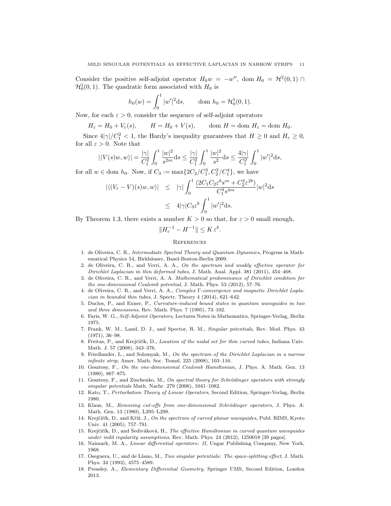Consider the positive self-adjoint operator  $H_0w = -w''$ , dom  $H_0 = H^2(0,1) \cap$  $\mathcal{H}_0^1(0,1)$ . The quadratic form associated with  $H_0$  is

$$
h_0(w) = \int_0^1 |w'|^2 ds, \qquad \text{dom } h_0 = \mathcal{H}_0^1(0, 1).
$$

Now, for each  $\varepsilon > 0$ , consider the sequence of self-adjoint operators

$$
H_{\varepsilon} = H_0 + V_{\varepsilon}(s), \qquad H = H_0 + V(s), \qquad \text{dom } H = \text{dom } H_{\varepsilon} = \text{dom } H_0.
$$

Since  $4|\gamma|/C_1^2 < 1$ , the Hardy's inequality guarantees that  $H \geq 0$  and  $H_{\varepsilon} \geq 0$ , for all  $\varepsilon > 0$ . Note that

$$
|\langle V(s)w, w \rangle| = \frac{|\gamma|}{C_1^2} \int_0^1 \frac{|w|^2}{s^{2m}} ds \le \frac{|\gamma|}{C_1^2} \int_0^1 \frac{|w|^2}{s^2} ds \le \frac{4|\gamma|}{C_1^2} \int_0^1 |w'|^2 ds,
$$

for all  $w \in$  dom  $h_0$ . Now, if  $C_3 := \max\{2C_2/C_1^3, C_2^2/C_1^4\}$ , we have

$$
\begin{array}{rcl} \left| \langle (V_{\varepsilon}-V)(s)w,w\rangle \right| & \leq & |\gamma| \int_0^1 \frac{(2C_1C_2\varepsilon^b s^m + C_2^2\varepsilon^{2b})}{C_1^4 s^{4m}} |w|^2 \mathrm{d}s \\ & \leq & 4|\gamma|C_3\varepsilon^b \int_0^1 |w'|^2 \mathrm{d}s. \end{array}
$$

By Theorem 1.3, there exists a number  $K > 0$  so that, for  $\varepsilon > 0$  small enough,

 $||H_{\varepsilon}^{-1} - H^{-1}|| \leq K \varepsilon^b.$ 

# **REFERENCES**

- 1. de Oliveira, C. R., Intermediate Spectral Theory and Quantum Dynamics, Progress in Mathematical Physics 54, Birkhäuser, Basel-Boston-Berlin 2009.
- 2. de Oliveira, C. R., and Verri, A. A., On the spectrum and weakly effective operator for Dirichlet Laplacian in thin deformed tubes, J. Math. Anal. Appl. 381 (2011), 454–468.
- 3. de Oliveira, C. R., and Verri, A. A. Mathematical predominance of Dirichlet condition for the one-dimensional Coulomb potential, J. Math. Phys. 53 (2012), 57–76.
- 4. de Oliveira, C. R., and Verri, A. A., Complex Γ-convergence and magnetic Dirichlet Laplacian in bounded thin tubes, J. Spectr. Theory 4 (2014), 621–642.
- 5. Duclos, P., and Exner, P., Curvature-induced bound states in quantum waveguides in two and three dimensions, Rev. Math. Phys. 7 (1995), 73–102.
- 6. Faris, W. G., Self-Adjoint Operators, Lectures Notes in Mathematics, Springer-Verlag, Berlin 1975.
- 7. Frank, W. M., Land, D. J., and Spector, R. M., Singular potentials, Rev. Mod. Phys. 43 (1971), 36–98.
- 8. Freitas, P., and Krejčiřík, D., Location of the nodal set for thin curved tubes, Indiana Univ. Math. J. 57 (2008), 343–376.
- 9. Friedlander, L., and Solomyak, M., On the spectrum of the Dirichlet Laplacian in a narrow infinite strip, Amer. Math. Soc. Transl. 225 (2008), 103–116.
- 10. Gesztesy, F., On the one-dimensional Coulomb Hamiltonian, J. Phys. A: Math. Gen. 13 (1980), 867–875.
- 11. Gesztesy, F., and Zinchenko, M., On spectral theory for Schrödinger operators with strongly singular potentials Math. Nachr. 279 (2006), 1041–1082.
- 12. Kato, T., Perturbation Theory of Linear Operators, Second Edition, Springer-Verlag, Berlin 1980.
- 13. Klaus, M., Removing cut-offs from one-dimensional Schrödinger operators, J. Phys. A: Math. Gen. 13 (1980), L295–L298.
- 14. Krejčiřík, D., and Kříž, J., On the spectrum of curved planar waveguides, Publ. RIMS, Kyoto Univ. 41 (2005), 757–791.
- 15. Krejčiřík, D., and Šediváková, H., The effective Hamiltonian in curved quantum waveguides under mild regularity assumptions, Rev. Math. Phys. 24 (2012), 1250018 [39 pages].
- 16. Naimark, M. A., Linear differential operators: II, Ungar Publishing Company, New York, 1968.
- 17. Oseguera, U., and de Llano, M., Two singular potentials: The space-splitting effect, J. Math. Phys. 34 (1993), 4575–4589.
- 18. Pressley, A., Elementary Differential Geometry, Springer UMS, Second Edition, London 2013.